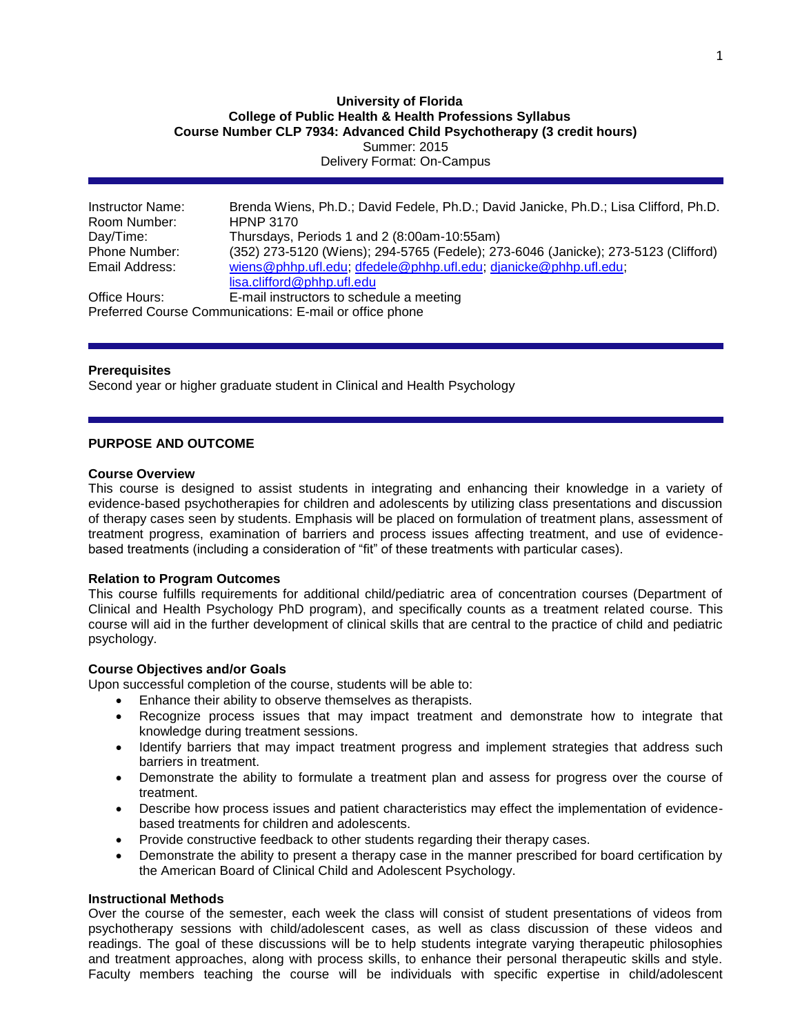## **University of Florida College of Public Health & Health Professions Syllabus Course Number CLP 7934: Advanced Child Psychotherapy (3 credit hours)** Summer: 2015 Delivery Format: On-Campus

| Instructor Name: | Brenda Wiens, Ph.D.; David Fedele, Ph.D.; David Janicke, Ph.D.; Lisa Clifford, Ph.D. |
|------------------|--------------------------------------------------------------------------------------|
| Room Number:     | <b>HPNP 3170</b>                                                                     |
| Day/Time:        | Thursdays, Periods 1 and 2 (8:00am-10:55am)                                          |
| Phone Number:    | (352) 273-5120 (Wiens); 294-5765 (Fedele); 273-6046 (Janicke); 273-5123 (Clifford)   |
| Email Address:   | wiens@phhp.ufl.edu; dfedele@phhp.ufl.edu; djanicke@phhp.ufl.edu;                     |
|                  | lisa.clifford@phhp.ufl.edu                                                           |
| Office Hours:    | E-mail instructors to schedule a meeting                                             |
|                  | Preferred Course Communications: E-mail or office phone                              |

### **Prerequisites**

Second year or higher graduate student in Clinical and Health Psychology

### **PURPOSE AND OUTCOME**

#### **Course Overview**

This course is designed to assist students in integrating and enhancing their knowledge in a variety of evidence-based psychotherapies for children and adolescents by utilizing class presentations and discussion of therapy cases seen by students. Emphasis will be placed on formulation of treatment plans, assessment of treatment progress, examination of barriers and process issues affecting treatment, and use of evidencebased treatments (including a consideration of "fit" of these treatments with particular cases).

#### **Relation to Program Outcomes**

This course fulfills requirements for additional child/pediatric area of concentration courses (Department of Clinical and Health Psychology PhD program), and specifically counts as a treatment related course. This course will aid in the further development of clinical skills that are central to the practice of child and pediatric psychology.

## **Course Objectives and/or Goals**

Upon successful completion of the course, students will be able to:

- Enhance their ability to observe themselves as therapists.
- Recognize process issues that may impact treatment and demonstrate how to integrate that knowledge during treatment sessions.
- Identify barriers that may impact treatment progress and implement strategies that address such barriers in treatment.
- Demonstrate the ability to formulate a treatment plan and assess for progress over the course of treatment.
- Describe how process issues and patient characteristics may effect the implementation of evidencebased treatments for children and adolescents.
- Provide constructive feedback to other students regarding their therapy cases.
- Demonstrate the ability to present a therapy case in the manner prescribed for board certification by the American Board of Clinical Child and Adolescent Psychology.

#### **Instructional Methods**

Over the course of the semester, each week the class will consist of student presentations of videos from psychotherapy sessions with child/adolescent cases, as well as class discussion of these videos and readings. The goal of these discussions will be to help students integrate varying therapeutic philosophies and treatment approaches, along with process skills, to enhance their personal therapeutic skills and style. Faculty members teaching the course will be individuals with specific expertise in child/adolescent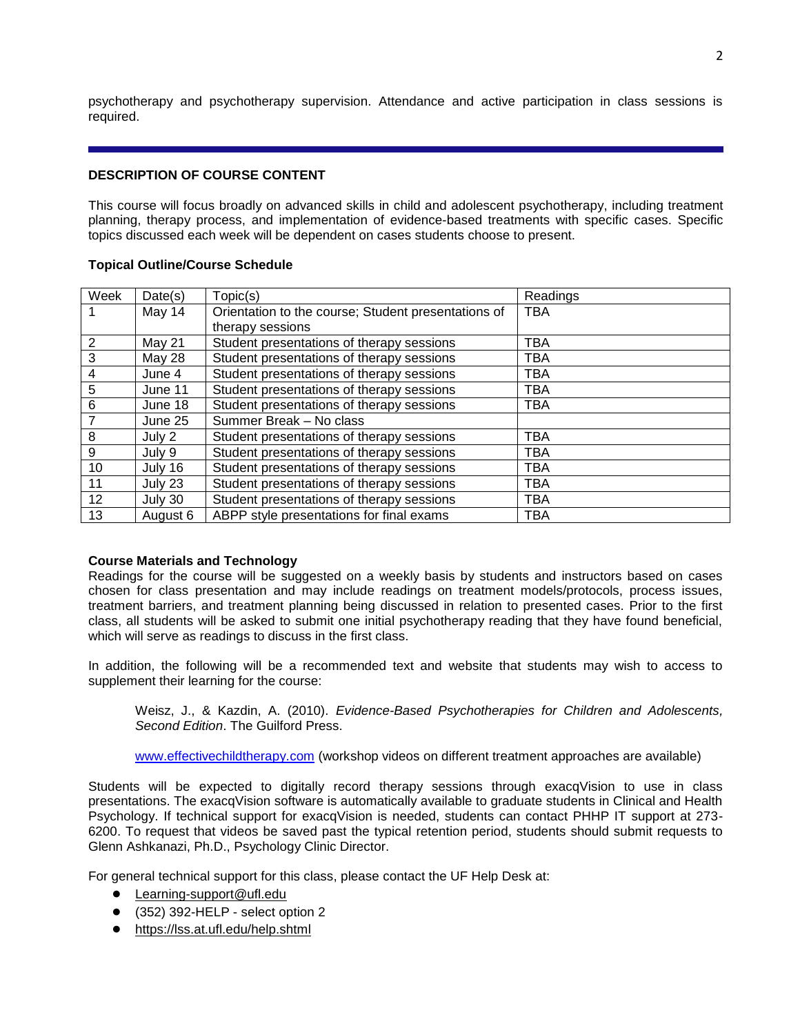psychotherapy and psychotherapy supervision. Attendance and active participation in class sessions is required.

# **DESCRIPTION OF COURSE CONTENT**

This course will focus broadly on advanced skills in child and adolescent psychotherapy, including treatment planning, therapy process, and implementation of evidence-based treatments with specific cases. Specific topics discussed each week will be dependent on cases students choose to present.

## **Topical Outline/Course Schedule**

| Week | Date(s)  | Topic(s)                                            | Readings   |
|------|----------|-----------------------------------------------------|------------|
|      | May 14   | Orientation to the course; Student presentations of | <b>TBA</b> |
|      |          | therapy sessions                                    |            |
| 2    | May 21   | Student presentations of therapy sessions           | TBA        |
| 3    | May 28   | Student presentations of therapy sessions           | TBA        |
| 4    | June 4   | Student presentations of therapy sessions           | TBA        |
| 5    | June 11  | Student presentations of therapy sessions           | <b>TBA</b> |
| 6    | June 18  | Student presentations of therapy sessions           | TBA        |
| 7    | June 25  | Summer Break - No class                             |            |
| 8    | July 2   | Student presentations of therapy sessions           | TBA        |
| 9    | July 9   | Student presentations of therapy sessions           | <b>TBA</b> |
| 10   | July 16  | Student presentations of therapy sessions           | <b>TBA</b> |
| 11   | July 23  | Student presentations of therapy sessions           | TBA        |
| 12   | July 30  | Student presentations of therapy sessions           | TBA        |
| 13   | August 6 | ABPP style presentations for final exams            | <b>TBA</b> |

## **Course Materials and Technology**

Readings for the course will be suggested on a weekly basis by students and instructors based on cases chosen for class presentation and may include readings on treatment models/protocols, process issues, treatment barriers, and treatment planning being discussed in relation to presented cases. Prior to the first class, all students will be asked to submit one initial psychotherapy reading that they have found beneficial, which will serve as readings to discuss in the first class.

In addition, the following will be a recommended text and website that students may wish to access to supplement their learning for the course:

Weisz, J., & Kazdin, A. (2010). *Evidence-Based Psychotherapies for Children and Adolescents, Second Edition*. The Guilford Press.

[www.effectivechildtherapy.com](http://www.effectivechildtherapy.com/) (workshop videos on different treatment approaches are available)

Students will be expected to digitally record therapy sessions through exacqVision to use in class presentations. The exacqVision software is automatically available to graduate students in Clinical and Health Psychology. If technical support for exacqVision is needed, students can contact PHHP IT support at 273- 6200. To request that videos be saved past the typical retention period, students should submit requests to Glenn Ashkanazi, Ph.D., Psychology Clinic Director.

For general technical support for this class, please contact the UF Help Desk at:

- [Learning-support@ufl.edu](file:///C:/Users/hackg/Desktop/Learning-support@ufl.edu)
- (352) 392-HELP select option 2
- <https://lss.at.ufl.edu/help.shtml>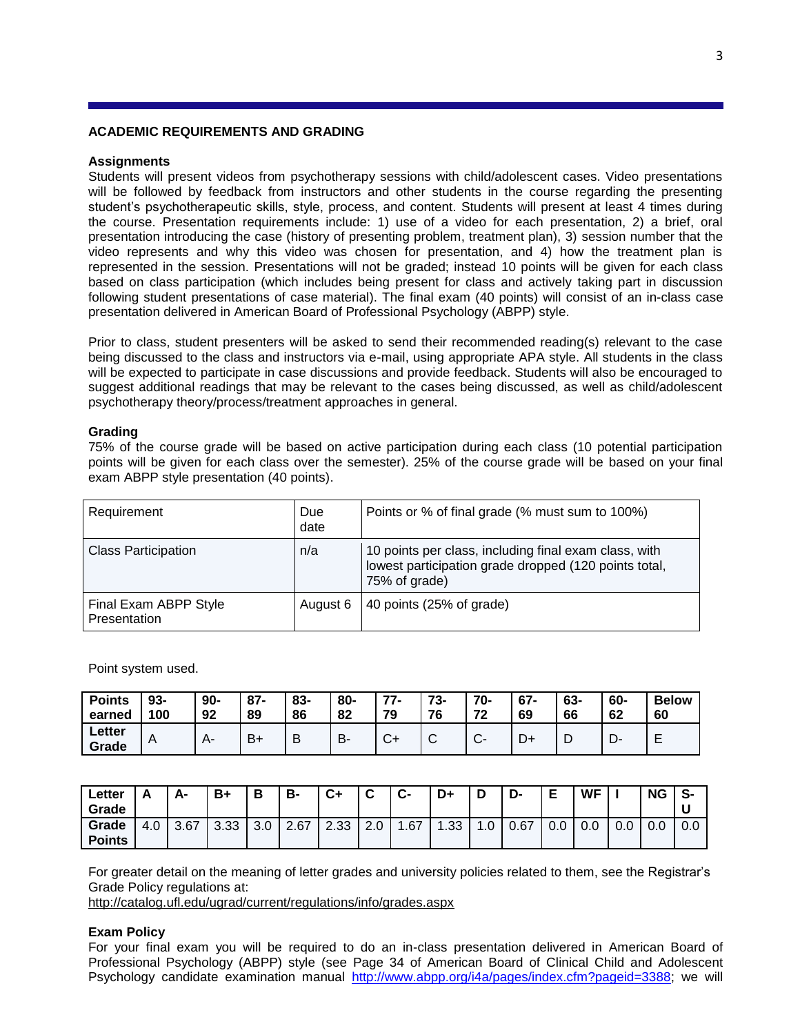#### **ACADEMIC REQUIREMENTS AND GRADING**

#### **Assignments**

Students will present videos from psychotherapy sessions with child/adolescent cases. Video presentations will be followed by feedback from instructors and other students in the course regarding the presenting student's psychotherapeutic skills, style, process, and content. Students will present at least 4 times during the course. Presentation requirements include: 1) use of a video for each presentation, 2) a brief, oral presentation introducing the case (history of presenting problem, treatment plan), 3) session number that the video represents and why this video was chosen for presentation, and 4) how the treatment plan is represented in the session. Presentations will not be graded; instead 10 points will be given for each class based on class participation (which includes being present for class and actively taking part in discussion following student presentations of case material). The final exam (40 points) will consist of an in-class case presentation delivered in American Board of Professional Psychology (ABPP) style.

Prior to class, student presenters will be asked to send their recommended reading(s) relevant to the case being discussed to the class and instructors via e-mail, using appropriate APA style. All students in the class will be expected to participate in case discussions and provide feedback. Students will also be encouraged to suggest additional readings that may be relevant to the cases being discussed, as well as child/adolescent psychotherapy theory/process/treatment approaches in general.

## **Grading**

75% of the course grade will be based on active participation during each class (10 potential participation points will be given for each class over the semester). 25% of the course grade will be based on your final exam ABPP style presentation (40 points).

| Requirement                           | Due<br>date | Points or % of final grade (% must sum to 100%)                                                                                 |
|---------------------------------------|-------------|---------------------------------------------------------------------------------------------------------------------------------|
| <b>Class Participation</b>            | n/a         | 10 points per class, including final exam class, with<br>lowest participation grade dropped (120 points total,<br>75% of grade) |
| Final Exam ABPP Style<br>Presentation | August 6    | 40 points (25% of grade)                                                                                                        |

Point system used.

| <b>Points</b>   | 93- | $90 -$ | $87 -$ | 83- | 80- | 77                     | 73-         | 70-              | $67 -$ | 63- | 60-  | <b>Below</b> |
|-----------------|-----|--------|--------|-----|-----|------------------------|-------------|------------------|--------|-----|------|--------------|
| earned          | 100 | 92     | 89     | 86  | 82  | 79                     | 76          | 72               | 69     | 66  | 62   | 60           |
| Letter<br>Grade | A   |        | B+     | D   | D   | $\mathbf{\mathcal{C}}$ | $\check{ }$ | $\sim$<br>$\sim$ |        | ◝┗  | – ∪− | -            |

| ∟etter<br>Grade        |     | А-   | B+   | Ð   | B-   | $C+$ | ⌒               | C-  | D+  |     | D-   | E   | <b>WF</b> |     | <b>NG</b> | S-<br>u |
|------------------------|-----|------|------|-----|------|------|-----------------|-----|-----|-----|------|-----|-----------|-----|-----------|---------|
| Grade<br><b>Points</b> | 4.0 | 3.67 | 3.33 | 3.0 | 2.67 | 2.33 | $\Omega$<br>Z.U | .67 | .33 | 1.0 | 0.67 | 0.0 | $_{0.0}$  | 0.0 | 0.0       | 0.0     |

For greater detail on the meaning of letter grades and university policies related to them, see the Registrar's Grade Policy regulations at:

<http://catalog.ufl.edu/ugrad/current/regulations/info/grades.aspx>

#### **Exam Policy**

For your final exam you will be required to do an in-class presentation delivered in American Board of Professional Psychology (ABPP) style (see Page 34 of American Board of Clinical Child and Adolescent Psychology candidate examination manual [http://www.abpp.org/i4a/pages/index.cfm?pageid=3388;](http://www.abpp.org/i4a/pages/index.cfm?pageid=3388) we will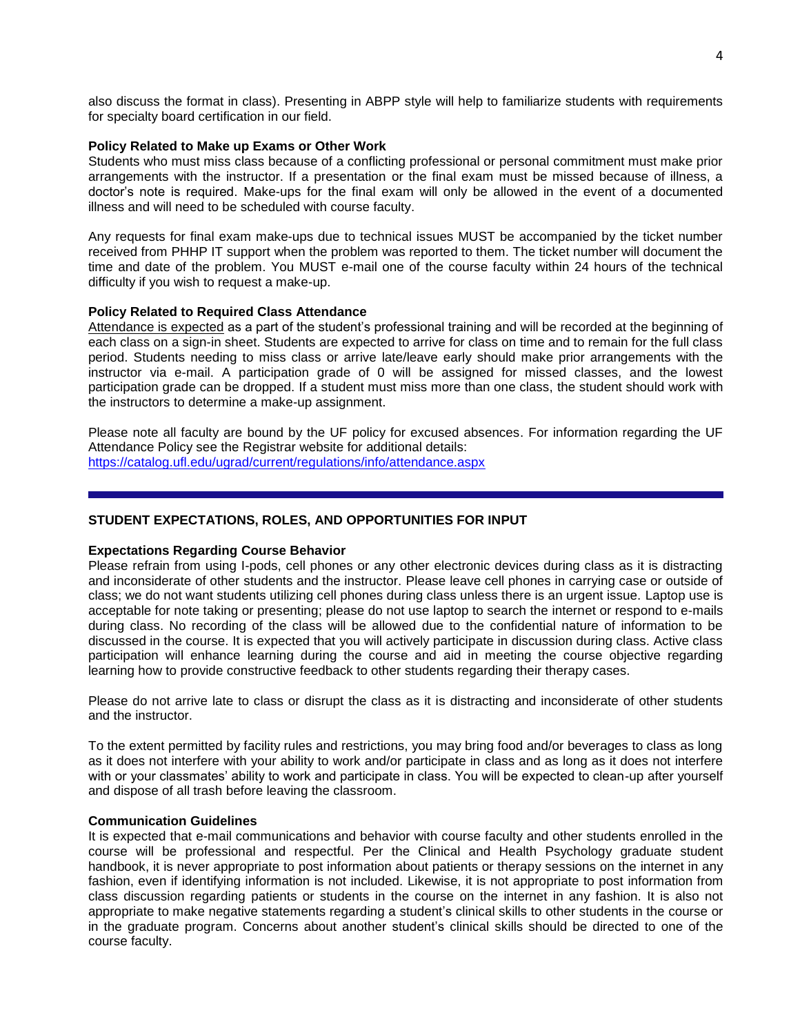also discuss the format in class). Presenting in ABPP style will help to familiarize students with requirements for specialty board certification in our field.

#### **Policy Related to Make up Exams or Other Work**

Students who must miss class because of a conflicting professional or personal commitment must make prior arrangements with the instructor. If a presentation or the final exam must be missed because of illness, a doctor's note is required. Make-ups for the final exam will only be allowed in the event of a documented illness and will need to be scheduled with course faculty.

Any requests for final exam make-ups due to technical issues MUST be accompanied by the ticket number received from PHHP IT support when the problem was reported to them. The ticket number will document the time and date of the problem. You MUST e-mail one of the course faculty within 24 hours of the technical difficulty if you wish to request a make-up.

#### **Policy Related to Required Class Attendance**

Attendance is expected as a part of the student's professional training and will be recorded at the beginning of each class on a sign-in sheet. Students are expected to arrive for class on time and to remain for the full class period. Students needing to miss class or arrive late/leave early should make prior arrangements with the instructor via e-mail. A participation grade of 0 will be assigned for missed classes, and the lowest participation grade can be dropped. If a student must miss more than one class, the student should work with the instructors to determine a make-up assignment.

Please note all faculty are bound by the UF policy for excused absences. For information regarding the UF Attendance Policy see the Registrar website for additional details: <https://catalog.ufl.edu/ugrad/current/regulations/info/attendance.aspx>

## **STUDENT EXPECTATIONS, ROLES, AND OPPORTUNITIES FOR INPUT**

#### **Expectations Regarding Course Behavior**

Please refrain from using I-pods, cell phones or any other electronic devices during class as it is distracting and inconsiderate of other students and the instructor. Please leave cell phones in carrying case or outside of class; we do not want students utilizing cell phones during class unless there is an urgent issue. Laptop use is acceptable for note taking or presenting; please do not use laptop to search the internet or respond to e-mails during class. No recording of the class will be allowed due to the confidential nature of information to be discussed in the course. It is expected that you will actively participate in discussion during class. Active class participation will enhance learning during the course and aid in meeting the course objective regarding learning how to provide constructive feedback to other students regarding their therapy cases.

Please do not arrive late to class or disrupt the class as it is distracting and inconsiderate of other students and the instructor.

To the extent permitted by facility rules and restrictions, you may bring food and/or beverages to class as long as it does not interfere with your ability to work and/or participate in class and as long as it does not interfere with or your classmates' ability to work and participate in class. You will be expected to clean-up after yourself and dispose of all trash before leaving the classroom.

### **Communication Guidelines**

It is expected that e-mail communications and behavior with course faculty and other students enrolled in the course will be professional and respectful. Per the Clinical and Health Psychology graduate student handbook, it is never appropriate to post information about patients or therapy sessions on the internet in any fashion, even if identifying information is not included. Likewise, it is not appropriate to post information from class discussion regarding patients or students in the course on the internet in any fashion. It is also not appropriate to make negative statements regarding a student's clinical skills to other students in the course or in the graduate program. Concerns about another student's clinical skills should be directed to one of the course faculty.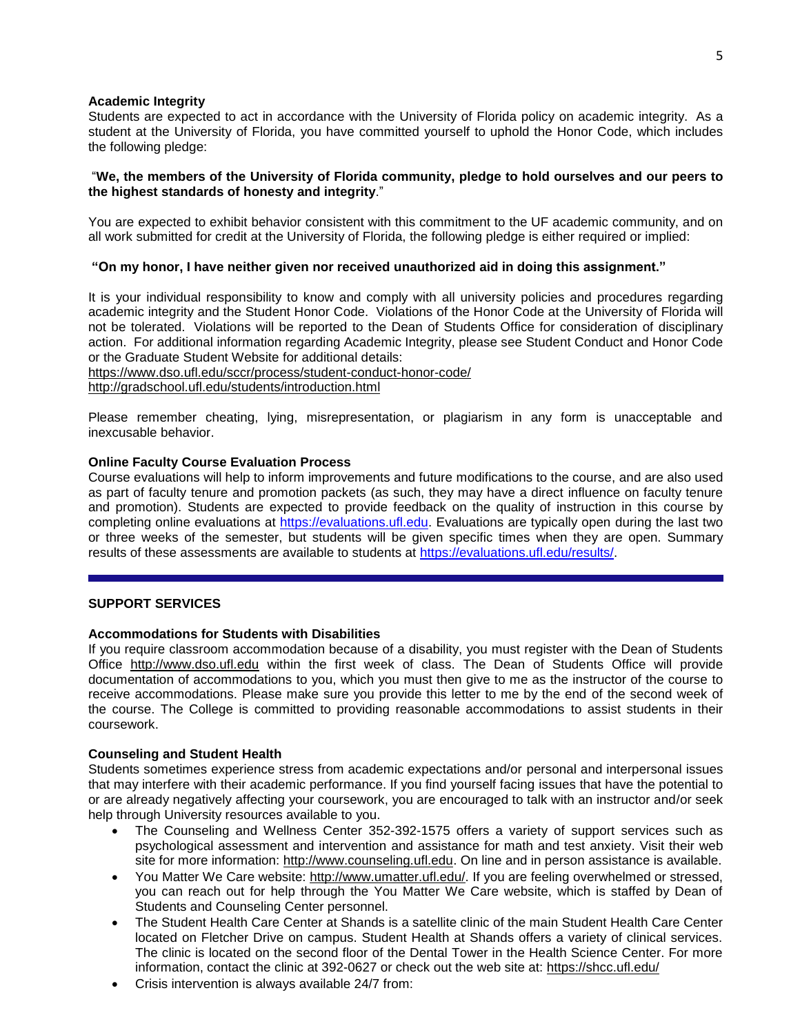### **Academic Integrity**

Students are expected to act in accordance with the University of Florida policy on academic integrity. As a student at the University of Florida, you have committed yourself to uphold the Honor Code, which includes the following pledge:

### "**We, the members of the University of Florida community, pledge to hold ourselves and our peers to the highest standards of honesty and integrity**."

You are expected to exhibit behavior consistent with this commitment to the UF academic community, and on all work submitted for credit at the University of Florida, the following pledge is either required or implied:

# **"On my honor, I have neither given nor received unauthorized aid in doing this assignment."**

It is your individual responsibility to know and comply with all university policies and procedures regarding academic integrity and the Student Honor Code. Violations of the Honor Code at the University of Florida will not be tolerated. Violations will be reported to the Dean of Students Office for consideration of disciplinary action. For additional information regarding Academic Integrity, please see Student Conduct and Honor Code or the Graduate Student Website for additional details:

<https://www.dso.ufl.edu/sccr/process/student-conduct-honor-code/> <http://gradschool.ufl.edu/students/introduction.html>

Please remember cheating, lying, misrepresentation, or plagiarism in any form is unacceptable and inexcusable behavior.

### **Online Faculty Course Evaluation Process**

Course evaluations will help to inform improvements and future modifications to the course, and are also used as part of faculty tenure and promotion packets (as such, they may have a direct influence on faculty tenure and promotion). Students are expected to provide feedback on the quality of instruction in this course by completing online evaluations at [https://evaluations.ufl.edu.](https://evaluations.ufl.edu/) Evaluations are typically open during the last two or three weeks of the semester, but students will be given specific times when they are open. Summary results of these assessments are available to students at [https://evaluations.ufl.edu/results/.](https://evaluations.ufl.edu/results/)

## **SUPPORT SERVICES**

### **Accommodations for Students with Disabilities**

If you require classroom accommodation because of a disability, you must register with the Dean of Students Office [http://www.dso.ufl.edu](http://www.dso.ufl.edu/) within the first week of class. The Dean of Students Office will provide documentation of accommodations to you, which you must then give to me as the instructor of the course to receive accommodations. Please make sure you provide this letter to me by the end of the second week of the course. The College is committed to providing reasonable accommodations to assist students in their coursework.

#### **Counseling and Student Health**

Students sometimes experience stress from academic expectations and/or personal and interpersonal issues that may interfere with their academic performance. If you find yourself facing issues that have the potential to or are already negatively affecting your coursework, you are encouraged to talk with an instructor and/or seek help through University resources available to you.

- The Counseling and Wellness Center 352-392-1575 offers a variety of support services such as psychological assessment and intervention and assistance for math and test anxiety. Visit their web site for more information: [http://www.counseling.ufl.edu.](http://www.counseling.ufl.edu/) On line and in person assistance is available.
- You Matter We Care website: [http://www.umatter.ufl.edu/.](http://www.umatter.ufl.edu/) If you are feeling overwhelmed or stressed, you can reach out for help through the You Matter We Care website, which is staffed by Dean of Students and Counseling Center personnel.
- The Student Health Care Center at Shands is a satellite clinic of the main Student Health Care Center located on Fletcher Drive on campus. Student Health at Shands offers a variety of clinical services. The clinic is located on the second floor of the Dental Tower in the Health Science Center. For more information, contact the clinic at 392-0627 or check out the web site at: <https://shcc.ufl.edu/>
- Crisis intervention is always available 24/7 from: